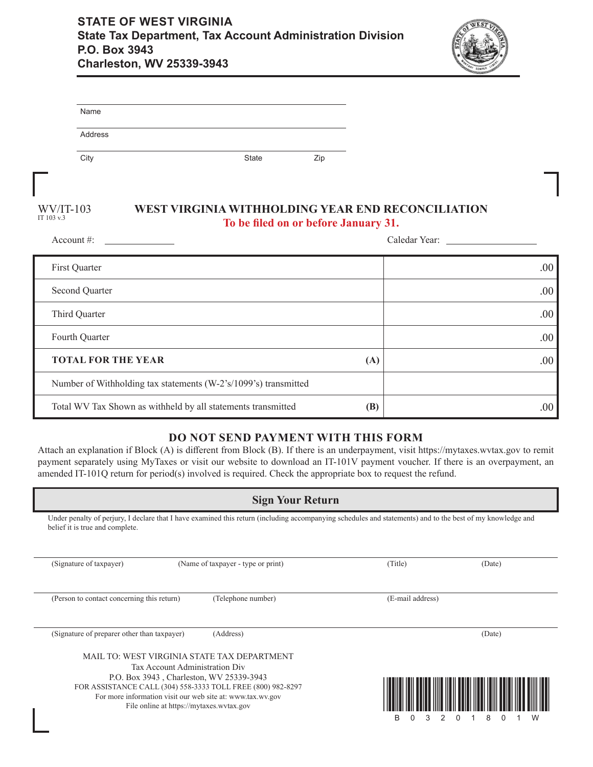

| Name                                                            |              |                                      |                                                   |
|-----------------------------------------------------------------|--------------|--------------------------------------|---------------------------------------------------|
| Address                                                         |              |                                      |                                                   |
| City                                                            | <b>State</b> | Zip                                  |                                                   |
|                                                                 |              |                                      |                                                   |
| $WV/IT-103$<br>IT 103 v.3                                       |              | To be filed on or before January 31. | WEST VIRGINIA WITHHOLDING YEAR END RECONCILIATION |
| Account #:                                                      |              |                                      | Caledar Year:                                     |
| First Quarter                                                   |              |                                      | .00                                               |
| Second Quarter                                                  |              |                                      | .00                                               |
| Third Quarter                                                   |              |                                      | .00                                               |
| Fourth Quarter                                                  |              |                                      | .00                                               |
| <b>TOTAL FOR THE YEAR</b>                                       |              | (A)                                  | .00                                               |
| Number of Withholding tax statements (W-2's/1099's) transmitted |              |                                      |                                                   |
| Total WV Tax Shown as withheld by all statements transmitted    |              | (B)                                  | .00                                               |

## **DO NOT SEND PAYMENT WITH THIS FORM**

Attach an explanation if Block (A) is different from Block (B). If there is an underpayment, visit https://mytaxes.wvtax.gov to remit payment separately using MyTaxes or visit our website to download an IT-101V payment voucher. If there is an overpayment, an amended IT-101Q return for period(s) involved is required. Check the appropriate box to request the refund.

| <b>Sign Your Return</b>                                                                                                                                                                                                                                                                                                                                        |                    |                                     |                  |  |
|----------------------------------------------------------------------------------------------------------------------------------------------------------------------------------------------------------------------------------------------------------------------------------------------------------------------------------------------------------------|--------------------|-------------------------------------|------------------|--|
| Under penalty of perjury, I declare that I have examined this return (including accompanying schedules and statements) and to the best of my knowledge and<br>belief it is true and complete.                                                                                                                                                                  |                    |                                     |                  |  |
| (Name of taxpayer - type or print)<br>(Signature of taxpayer)                                                                                                                                                                                                                                                                                                  |                    | (Title)                             | (Date)           |  |
| (Person to contact concerning this return)                                                                                                                                                                                                                                                                                                                     | (Telephone number) | (E-mail address)                    |                  |  |
| (Signature of preparer other than taxpayer)<br>(Address)<br>MAIL TO: WEST VIRGINIA STATE TAX DEPARTMENT<br>Tax Account Administration Div<br>P.O. Box 3943, Charleston, WV 25339-3943<br>FOR ASSISTANCE CALL (304) 558-3333 TOLL FREE (800) 982-8297<br>For more information visit our web site at: www.tax.wv.gov<br>File online at https://mytaxes.wvtax.gov |                    | B<br>$\Omega$<br>3<br>2<br>$\Omega$ | (Date)<br>8<br>W |  |